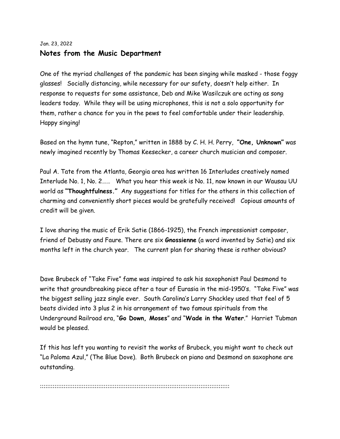## Jan. 23, 2022 **Notes from the Music Department**

One of the myriad challenges of the pandemic has been singing while masked - those foggy glasses! Socially distancing, while necessary for our safety, doesn't help either. In response to requests for some assistance, Deb and Mike Wasilczuk are acting as song leaders today. While they will be using microphones, this is not a solo opportunity for them, rather a chance for you in the pews to feel comfortable under their leadership. Happy singing!

Based on the hymn tune, "Repton," written in 1888 by C. H. H. Perry, **"One, Unknown"** was newly imagined recently by Thomas Keesecker, a career church musician and composer.

Paul A. Tate from the Atlanta, Georgia area has written 16 Interludes creatively named Interlude No. 1, No. 2…… What you hear this week is No. 11, now known in our Wausau UU world as **"Thoughtfulness."** Any suggestions for titles for the others in this collection of charming and conveniently short pieces would be gratefully received! Copious amounts of credit will be given.

I love sharing the music of Erik Satie (1866-1925), the French impressionist composer, friend of Debussy and Faure. There are six **Gnossienne** (a word invented by Satie) and six months left in the church year. The current plan for sharing these is rather obvious?

Dave Brubeck of "Take Five" fame was inspired to ask his saxophonist Paul Desmond to write that groundbreaking piece after a tour of Eurasia in the mid-1950's. "Take Five" was the biggest selling jazz single ever. South Carolina's Larry Shackley used that feel of 5 beats divided into 3 plus 2 in his arrangement of two famous spirituals from the Underground Railroad era, "**Go Down, Moses**" and "**Wade in the Water**." Harriet Tubman would be pleased.

If this has left you wanting to revisit the works of Brubeck, you might want to check out "La Paloma Azul," (The Blue Dove). Both Brubeck on piano and Desmond on saxophone are outstanding.

::::::::::::::::::::::::::::::::::::::::::::::::::::::::::::::::::::::::::::::::::::::::::::::::::::::::